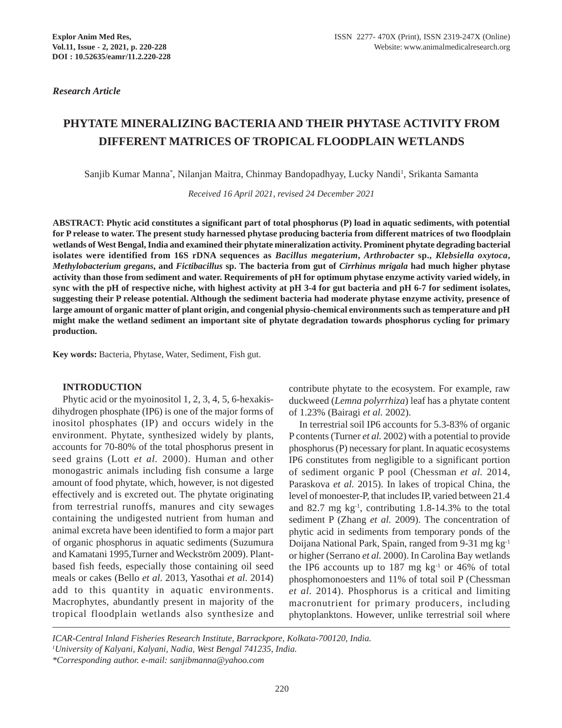# **PHYTATE MINERALIZING BACTERIA AND THEIR PHYTASE ACTIVITY FROM DIFFERENT MATRICES OF TROPICAL FLOODPLAIN WETLANDS**

Sanjib Kumar Manna\*, Nilanjan Maitra, Chinmay Bandopadhyay, Lucky Nandi<sup>1</sup>, Srikanta Samanta

*Received 16 April 2021, revised 24 December 2021*

**ABSTRACT: Phytic acid constitutes a significant part of total phosphorus (P) load in aquatic sediments, with potential for P release to water. The present study harnessed phytase producing bacteria from different matrices of two floodplain wetlands of West Bengal, India and examined their phytate mineralization activity. Prominent phytate degrading bacterial isolates were identified from 16S rDNA sequences as** *Bacillus megaterium***,** *Arthrobacter* **sp.,** *Klebsiella oxytoca***,** *Methylobacterium gregans***, and** *Fictibacillus* **sp. The bacteria from gut of** *Cirrhinus mrigala* **had much higher phytase activity than those from sediment and water. Requirements of pH for optimum phytase enzyme activity varied widely, in sync with the pH of respective niche, with highest activity at pH 3-4 for gut bacteria and pH 6-7 for sediment isolates, suggesting their P release potential. Although the sediment bacteria had moderate phytase enzyme activity, presence of large amount of organic matter of plant origin, and congenial physio-chemical environments such as temperature and pH might make the wetland sediment an important site of phytate degradation towards phosphorus cycling for primary production.**

**Key words:** Bacteria, Phytase, Water, Sediment, Fish gut.

## **INTRODUCTION**

Phytic acid or the myoinositol 1, 2, 3, 4, 5, 6-hexakisdihydrogen phosphate (IP6) is one of the major forms of inositol phosphates (IP) and occurs widely in the environment. Phytate, synthesized widely by plants, accounts for 70-80% of the total phosphorus present in seed grains (Lott *et al.* 2000). Human and other monogastric animals including fish consume a large amount of food phytate, which, however, is not digested effectively and is excreted out. The phytate originating from terrestrial runoffs, manures and city sewages containing the undigested nutrient from human and animal excreta have been identified to form a major part of organic phosphorus in aquatic sediments (Suzumura and Kamatani 1995,Turner and Weckström 2009). Plantbased fish feeds, especially those containing oil seed meals or cakes (Bello *et al*. 2013, Yasothai *et al*. 2014) add to this quantity in aquatic environments. Macrophytes, abundantly present in majority of the tropical floodplain wetlands also synthesize and contribute phytate to the ecosystem. For example, raw duckweed (*Lemna polyrrhiza*) leaf has a phytate content of 1.23% (Bairagi *et al.* 2002).

In terrestrial soil IP6 accounts for 5.3-83% of organic P contents (Turner *et al.* 2002) with a potential to provide phosphorus (P) necessary for plant. In aquatic ecosystems IP6 constitutes from negligible to a significant portion of sediment organic P pool (Chessman *et al.* 2014, Paraskova *et al.* 2015). In lakes of tropical China, the level of monoester-P, that includes IP, varied between 21.4 and 82.7 mg  $kg^{-1}$ , contributing 1.8-14.3% to the total sediment P (Zhang *et al.* 2009). The concentration of phytic acid in sediments from temporary ponds of the Doijana National Park, Spain, ranged from 9-31 mg kg-1 or higher (Serrano *et al.* 2000). In Carolina Bay wetlands the IP6 accounts up to  $187 \text{ mg kg}^{-1}$  or  $46\%$  of total phosphomonoesters and 11% of total soil P (Chessman *et al.* 2014). Phosphorus is a critical and limiting macronutrient for primary producers, including phytoplanktons. However, unlike terrestrial soil where

*ICAR-Central Inland Fisheries Research Institute, Barrackpore, Kolkata-700120, India. 1 University of Kalyani, Kalyani, Nadia, West Bengal 741235, India. \*Corresponding author. e-mail: sanjibmanna@yahoo.com*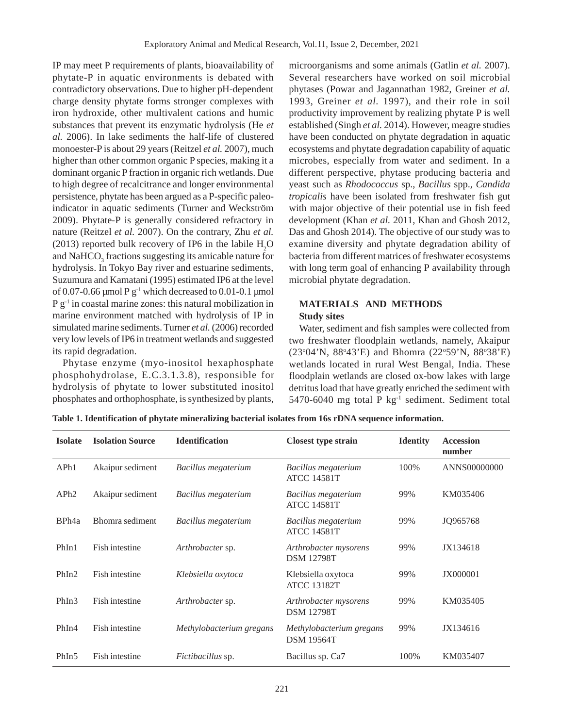IP may meet P requirements of plants, bioavailability of phytate-P in aquatic environments is debated with contradictory observations. Due to higher pH-dependent charge density phytate forms stronger complexes with iron hydroxide, other multivalent cations and humic substances that prevent its enzymatic hydrolysis (He *et al.* 2006). In lake sediments the half-life of clustered monoester-P is about 29 years (Reitzel *et al.* 2007), much higher than other common organic P species, making it a dominant organic P fraction in organic rich wetlands. Due to high degree of recalcitrance and longer environmental persistence, phytate has been argued as a P-specific paleoindicator in aquatic sediments (Turner and Weckström 2009). Phytate-P is generally considered refractory in nature (Reitzel *et al.* 2007). On the contrary, Zhu *et al.* (2013) reported bulk recovery of IP6 in the labile  $H_2O$ and  $\mathrm{NaHCO}_{_3}$  fractions suggesting its amicable nature for hydrolysis. In Tokyo Bay river and estuarine sediments, Suzumura and Kamatani (1995) estimated IP6 at the level of 0.07-0.66  $\mu$ mol P g<sup>-1</sup> which decreased to 0.01-0.1  $\mu$ mol  $P g^{-1}$  in coastal marine zones: this natural mobilization in marine environment matched with hydrolysis of IP in simulated marine sediments. Turner *et al.* (2006) recorded very low levels of IP6 in treatment wetlands and suggested its rapid degradation.

Phytase enzyme (myo-inositol hexaphosphate phosphohydrolase, E.C.3.1.3.8), responsible for hydrolysis of phytate to lower substituted inositol phosphates and orthophosphate, is synthesized by plants,

microorganisms and some animals (Gatlin *et al.* 2007). Several researchers have worked on soil microbial phytases (Powar and Jagannathan 1982, Greiner *et al.* 1993, Greiner *et al.* 1997), and their role in soil productivity improvement by realizing phytate P is well established (Singh *et al.* 2014). However, meagre studies have been conducted on phytate degradation in aquatic ecosystems and phytate degradation capability of aquatic microbes, especially from water and sediment. In a different perspective, phytase producing bacteria and yeast such as *Rhodococcus* sp., *Bacillus* spp., *Candida tropicalis* have been isolated from freshwater fish gut with major objective of their potential use in fish feed development (Khan *et al.* 2011, Khan and Ghosh 2012, Das and Ghosh 2014). The objective of our study was to examine diversity and phytate degradation ability of bacteria from different matrices of freshwater ecosystems with long term goal of enhancing P availability through microbial phytate degradation.

## **MATERIALS AND METHODS Study sites**

Water, sediment and fish samples were collected from two freshwater floodplain wetlands, namely, Akaipur (23°04'N, 88°43'E) and Bhomra (22°59'N, 88°38'E) wetlands located in rural West Bengal, India. These floodplain wetlands are closed ox-bow lakes with large detritus load that have greatly enriched the sediment with 5470-6040 mg total P kg-1 sediment. Sediment total

| <b>Isolate</b>    | <b>Isolation Source</b> | <b>Identification</b>    | <b>Closest type strain</b>                    | <b>Identity</b> | <b>Accession</b><br>number |
|-------------------|-------------------------|--------------------------|-----------------------------------------------|-----------------|----------------------------|
| APh1              | Akaipur sediment        | Bacillus megaterium      | Bacillus megaterium<br><b>ATCC 14581T</b>     | 100%            | ANNS00000000               |
| APh2              | Akaipur sediment        | Bacillus megaterium      | Bacillus megaterium<br><b>ATCC 14581T</b>     | 99%             | KM035406                   |
| BPh <sub>4a</sub> | Bhomra sediment         | Bacillus megaterium      | Bacillus megaterium<br><b>ATCC 14581T</b>     | 99%             | JQ965768                   |
| PhIn1             | Fish intestine          | Arthrobacter sp.         | Arthrobacter mysorens<br><b>DSM 12798T</b>    | 99%             | JX134618                   |
| PhIn2             | Fish intestine          | Klebsiella oxytoca       | Klebsiella oxytoca<br><b>ATCC 13182T</b>      | 99%             | <b>JX000001</b>            |
| PhIn3             | Fish intestine          | Arthrobacter sp.         | Arthrobacter mysorens<br><b>DSM 12798T</b>    | 99%             | KM035405                   |
| PhIn4             | Fish intestine          | Methylobacterium gregans | Methylobacterium gregans<br><b>DSM 19564T</b> | 99%             | JX134616                   |
| PhIn <sub>5</sub> | Fish intestine          | Fictibacillus sp.        | Bacillus sp. Ca7                              | 100%            | KM035407                   |

**Table 1. Identification of phytate mineralizing bacterial isolates from 16s rDNA sequence information.**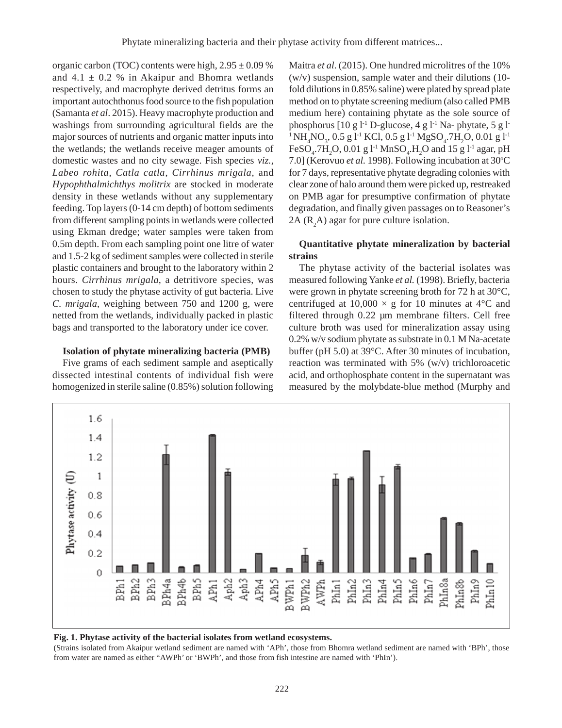organic carbon (TOC) contents were high,  $2.95 \pm 0.09$  % and  $4.1 \pm 0.2$  % in Akaipur and Bhomra wetlands respectively, and macrophyte derived detritus forms an important autochthonus food source to the fish population (Samanta *et al*. 2015). Heavy macrophyte production and washings from surrounding agricultural fields are the major sources of nutrients and organic matter inputs into the wetlands; the wetlands receive meager amounts of domestic wastes and no city sewage. Fish species *viz.*, *Labeo rohita*, *Catla catla*, *Cirrhinus mrigala*, and *Hypophthalmichthys molitrix* are stocked in moderate density in these wetlands without any supplementary feeding. Top layers (0-14 cm depth) of bottom sediments from different sampling points in wetlands were collected using Ekman dredge; water samples were taken from 0.5m depth. From each sampling point one litre of water and 1.5-2 kg of sediment samples were collected in sterile plastic containers and brought to the laboratory within 2 hours. *Cirrhinus mrigala*, a detritivore species, was chosen to study the phytase activity of gut bacteria. Live *C. mrigala*, weighing between 750 and 1200 g, were netted from the wetlands, individually packed in plastic bags and transported to the laboratory under ice cover.

#### **Isolation of phytate mineralizing bacteria (PMB)**

Five grams of each sediment sample and aseptically dissected intestinal contents of individual fish were homogenized in sterile saline (0.85%) solution following Maitra *et al*. (2015). One hundred microlitres of the 10% (w/v) suspension, sample water and their dilutions (10 fold dilutions in 0.85% saline) were plated by spread plate method on to phytate screening medium (also called PMB medium here) containing phytate as the sole source of phosphorus  $[10 \text{ g }]^{-1}$  D-glucose,  $4 \text{ g }]^{-1}$  Na- phytate,  $5 \text{ g }]^{-1}$  $^{1}$ NH<sub>4</sub>NO<sub>3</sub>, 0.5 g l<sup>-1</sup> KCl, 0.5 g l<sup>-1</sup> MgSO<sub>4</sub>.7H<sub>2</sub>O, 0.01 g l<sup>-1</sup> FeSO<sub>4</sub>.7H<sub>2</sub>O, 0.01 g l<sup>-1</sup> MnSO<sub>4</sub>.H<sub>2</sub>O and 15 g l<sup>-1</sup> agar, pH 7.0] (Kerovuo et al. 1998). Following incubation at 30°C for 7 days, representative phytate degrading colonies with clear zone of halo around them were picked up, restreaked on PMB agar for presumptive confirmation of phytate degradation, and finally given passages on to Reasoner's 2A  $(R_2A)$  agar for pure culture isolation.

## **Quantitative phytate mineralization by bacterial strains**

The phytase activity of the bacterial isolates was measured following Yanke *et al.* (1998). Briefly, bacteria were grown in phytate screening broth for 72 h at 30°C, centrifuged at  $10,000 \times g$  for 10 minutes at 4°C and filtered through 0.22 µm membrane filters. Cell free culture broth was used for mineralization assay using 0.2% w/v sodium phytate as substrate in 0.1 M Na-acetate buffer (pH 5.0) at 39°C. After 30 minutes of incubation, reaction was terminated with 5% (w/v) trichloroacetic acid, and orthophosphate content in the supernatant was measured by the molybdate-blue method (Murphy and



#### **Fig. 1. Phytase activity of the bacterial isolates from wetland ecosystems.**

(Strains isolated from Akaipur wetland sediment are named with 'APh', those from Bhomra wetland sediment are named with 'BPh', those from water are named as either "AWPh' or 'BWPh', and those from fish intestine are named with 'PhIn').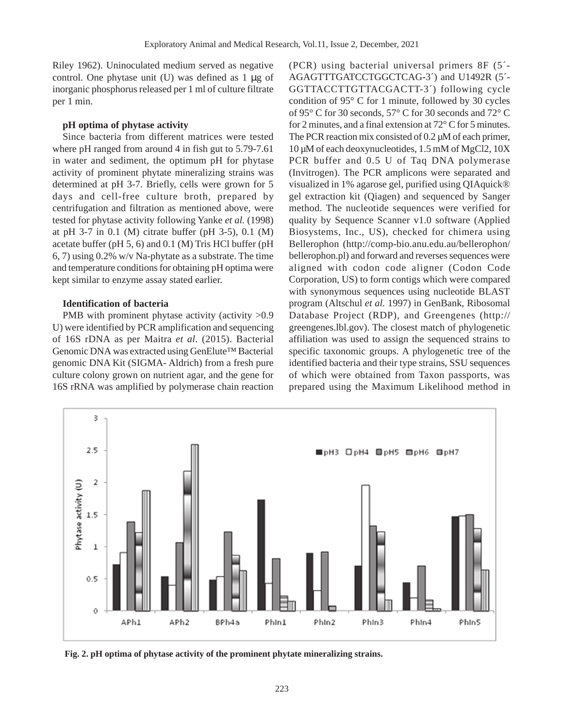Riley 1962). Uninoculated medium served as negative control. One phytase unit  $(U)$  was defined as 1  $\mu$ g of inorganic phosphorus released per 1 ml of culture filtrate per 1 min.

## **pH optima of phytase activity**

Since bacteria from different matrices were tested where pH ranged from around 4 in fish gut to 5.79-7.61 in water and sediment, the optimum pH for phytase activity of prominent phytate mineralizing strains was determined at pH 3-7. Briefly, cells were grown for 5 days and cell-free culture broth, prepared by centrifugation and filtration as mentioned above, were tested for phytase activity following Yanke *et al.* (1998) at pH 3-7 in 0.1 (M) citrate buffer (pH 3-5), 0.1 (M) acetate buffer (pH 5, 6) and 0.1 (M) Tris HCl buffer (pH 6, 7) using 0.2% w/v Na-phytate as a substrate. The time and temperature conditions for obtaining pH optima were kept similar to enzyme assay stated earlier.

## **Identification of bacteria**

PMB with prominent phytase activity (activity  $>0.9$ ) U) were identified by PCR amplification and sequencing of 16S rDNA as per Maitra *et al.* (2015). Bacterial Genomic DNA was extracted using GenElute™ Bacterial genomic DNA Kit (SIGMA- Aldrich) from a fresh pure culture colony grown on nutrient agar, and the gene for 16S rRNA was amplified by polymerase chain reaction

(PCR) using bacterial universal primers 8F (5´- AGAGTTTGATCCTGGCTCAG-3´) and U1492R (5´- GGTTACCTTGTTACGACTT-3´) following cycle condition of 95° C for 1 minute, followed by 30 cycles of 95° C for 30 seconds, 57° C for 30 seconds and 72° C for 2 minutes, and a final extension at 72° C for 5 minutes. The PCR reaction mix consisted of 0.2  $\mu$ M of each primer, 10 µM of each deoxynucleotides, 1.5 mM of MgCl2, 10X PCR buffer and 0.5 U of Taq DNA polymerase (Invitrogen). The PCR amplicons were separated and visualized in 1% agarose gel, purified using QIAquick® gel extraction kit (Qiagen) and sequenced by Sanger method. The nucleotide sequences were verified for quality by Sequence Scanner v1.0 software (Applied Biosystems, Inc., US), checked for chimera using Bellerophon (http://comp-bio.anu.edu.au/bellerophon/ bellerophon.pl) and forward and reverses sequences were aligned with codon code aligner (Codon Code Corporation, US) to form contigs which were compared with synonymous sequences using nucleotide BLAST program (Altschul *et al.* 1997) in GenBank, Ribosomal Database Project (RDP), and Greengenes (http:// greengenes.lbl.gov). The closest match of phylogenetic affiliation was used to assign the sequenced strains to specific taxonomic groups. A phylogenetic tree of the identified bacteria and their type strains, SSU sequences of which were obtained from Taxon passports, was prepared using the Maximum Likelihood method in



**Fig. 2. pH optima of phytase activity of the prominent phytate mineralizing strains.**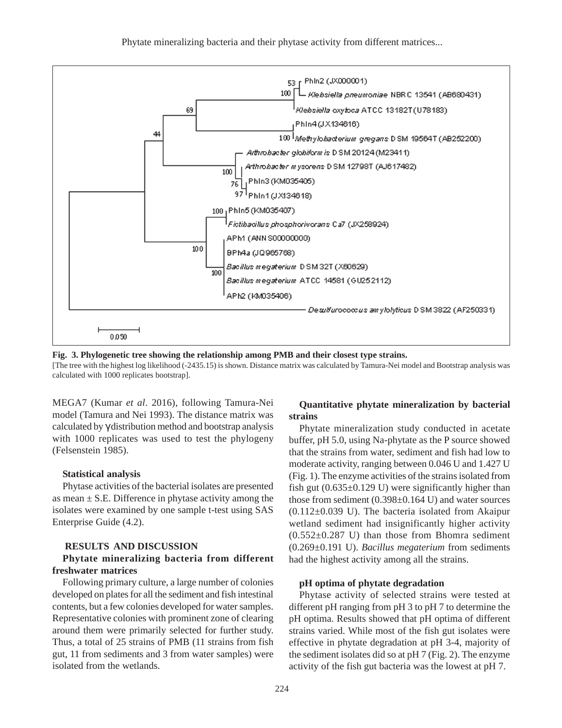

**Fig. 3. Phylogenetic tree showing the relationship among PMB and their closest type strains.**

[The tree with the highest log likelihood (-2435.15) is shown. Distance matrix was calculated by Tamura-Nei model and Bootstrap analysis was calculated with 1000 replicates bootstrap].

MEGA7 (Kumar *et al*. 2016), following Tamura-Nei model (Tamura and Nei 1993). The distance matrix was calculated by γ distribution method and bootstrap analysis with 1000 replicates was used to test the phylogeny (Felsenstein 1985).

#### **Statistical analysis**

Phytase activities of the bacterial isolates are presented as mean  $\pm$  S.E. Difference in phytase activity among the isolates were examined by one sample t-test using SAS Enterprise Guide (4.2).

#### **RESULTS AND DISCUSSION**

## **Phytate mineralizing bacteria from different freshwater matrices**

Following primary culture, a large number of colonies developed on plates for all the sediment and fish intestinal contents, but a few colonies developed for water samples. Representative colonies with prominent zone of clearing around them were primarily selected for further study. Thus, a total of 25 strains of PMB (11 strains from fish gut, 11 from sediments and 3 from water samples) were isolated from the wetlands.

## **Quantitative phytate mineralization by bacterial strains**

Phytate mineralization study conducted in acetate buffer, pH 5.0, using Na-phytate as the P source showed that the strains from water, sediment and fish had low to moderate activity, ranging between 0.046 U and 1.427 U (Fig. 1). The enzyme activities of the strains isolated from fish gut  $(0.635\pm0.129 \text{ U})$  were significantly higher than those from sediment (0.398±0.164 U) and water sources  $(0.112 \pm 0.039)$  U). The bacteria isolated from Akaipur wetland sediment had insignificantly higher activity  $(0.552 \pm 0.287 \text{ U})$  than those from Bhomra sediment (0.269±0.191 U). *Bacillus megaterium* from sediments had the highest activity among all the strains.

#### **pH optima of phytate degradation**

Phytase activity of selected strains were tested at different pH ranging from pH 3 to pH 7 to determine the pH optima. Results showed that pH optima of different strains varied. While most of the fish gut isolates were effective in phytate degradation at pH 3-4, majority of the sediment isolates did so at pH 7 (Fig. 2). The enzyme activity of the fish gut bacteria was the lowest at pH 7.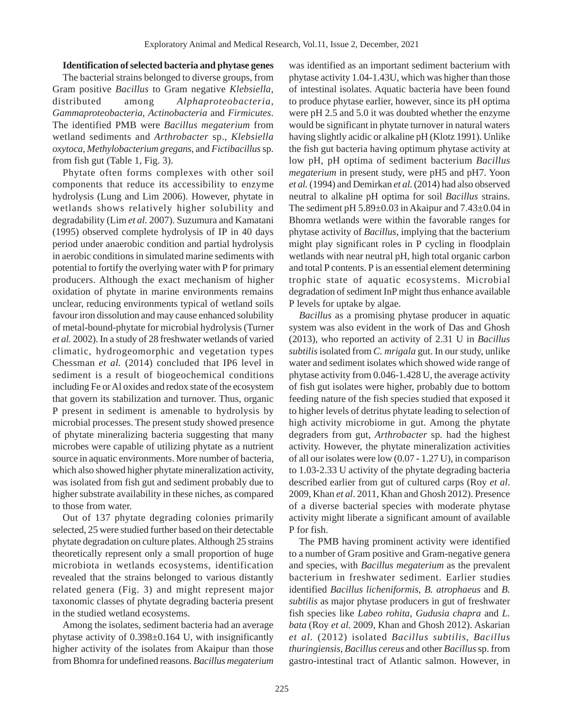### **Identification of selected bacteria and phytase genes**

The bacterial strains belonged to diverse groups, from Gram positive *Bacillus* to Gram negative *Klebsiella*, distributed among *Alphaproteobacteria*, *Gammaproteobacteria*, *Actinobacteria* and *Firmicutes*. The identified PMB were *Bacillus megaterium* from wetland sediments and *Arthrobacter* sp., *Klebsiella oxytoca*, *Methylobacterium gregans*, and *Fictibacillus* sp. from fish gut (Table 1, Fig. 3).

Phytate often forms complexes with other soil components that reduce its accessibility to enzyme hydrolysis (Lung and Lim 2006). However, phytate in wetlands shows relatively higher solubility and degradability (Lim *et al.* 2007). Suzumura and Kamatani (1995) observed complete hydrolysis of IP in 40 days period under anaerobic condition and partial hydrolysis in aerobic conditions in simulated marine sediments with potential to fortify the overlying water with P for primary producers. Although the exact mechanism of higher oxidation of phytate in marine environments remains unclear, reducing environments typical of wetland soils favour iron dissolution and may cause enhanced solubility of metal-bound-phytate for microbial hydrolysis (Turner *et al.* 2002). In a study of 28 freshwater wetlands of varied climatic, hydrogeomorphic and vegetation types Chessman *et al.* (2014) concluded that IP6 level in sediment is a result of biogeochemical conditions including Fe or Al oxides and redox state of the ecosystem that govern its stabilization and turnover. Thus, organic P present in sediment is amenable to hydrolysis by microbial processes. The present study showed presence of phytate mineralizing bacteria suggesting that many microbes were capable of utilizing phytate as a nutrient source in aquatic environments. More number of bacteria, which also showed higher phytate mineralization activity, was isolated from fish gut and sediment probably due to higher substrate availability in these niches, as compared to those from water.

Out of 137 phytate degrading colonies primarily selected, 25 were studied further based on their detectable phytate degradation on culture plates. Although 25 strains theoretically represent only a small proportion of huge microbiota in wetlands ecosystems, identification revealed that the strains belonged to various distantly related genera (Fig. 3) and might represent major taxonomic classes of phytate degrading bacteria present in the studied wetland ecosystems.

Among the isolates, sediment bacteria had an average phytase activity of 0.398±0.164 U, with insignificantly higher activity of the isolates from Akaipur than those from Bhomra for undefined reasons. *Bacillus megaterium* was identified as an important sediment bacterium with phytase activity 1.04-1.43U, which was higher than those of intestinal isolates. Aquatic bacteria have been found to produce phytase earlier, however, since its pH optima were pH 2.5 and 5.0 it was doubted whether the enzyme would be significant in phytate turnover in natural waters having slightly acidic or alkaline pH (Klotz 1991). Unlike the fish gut bacteria having optimum phytase activity at low pH, pH optima of sediment bacterium *Bacillus megaterium* in present study, were pH5 and pH7. Yoon *et al.* (1994) and Demirkan *et al.* (2014) had also observed neutral to alkaline pH optima for soil *Bacillus* strains. The sediment pH  $5.89\pm0.03$  in Akaipur and  $7.43\pm0.04$  in Bhomra wetlands were within the favorable ranges for phytase activity of *Bacillus*, implying that the bacterium might play significant roles in P cycling in floodplain wetlands with near neutral pH, high total organic carbon and total P contents. P is an essential element determining trophic state of aquatic ecosystems. Microbial degradation of sediment InP might thus enhance available P levels for uptake by algae.

*Bacillus* as a promising phytase producer in aquatic system was also evident in the work of Das and Ghosh (2013), who reported an activity of 2.31 U in *Bacillus subtilis* isolated from *C. mrigala* gut. In our study, unlike water and sediment isolates which showed wide range of phytase activity from 0.046-1.428 U, the average activity of fish gut isolates were higher, probably due to bottom feeding nature of the fish species studied that exposed it to higher levels of detritus phytate leading to selection of high activity microbiome in gut. Among the phytate degraders from gut, *Arthrobacter* sp. had the highest activity. However, the phytate mineralization activities of all our isolates were low (0.07 - 1.27 U), in comparison to 1.03-2.33 U activity of the phytate degrading bacteria described earlier from gut of cultured carps (Roy *et al*. 2009, Khan *et al*. 2011, Khan and Ghosh 2012). Presence of a diverse bacterial species with moderate phytase activity might liberate a significant amount of available P for fish.

The PMB having prominent activity were identified to a number of Gram positive and Gram-negative genera and species, with *Bacillus megaterium* as the prevalent bacterium in freshwater sediment. Earlier studies identified *Bacillus licheniformis*, *B. atrophaeus* and *B. subtilis* as major phytase producers in gut of freshwater fish species like *Labeo rohita*, *Gudusia chapra* and *L. bata* (Roy *et al.* 2009, Khan and Ghosh 2012). Askarian *et al.* (2012) isolated *Bacillus subtilis*, *Bacillus thuringiensis*, *Bacillus cereus* and other *Bacillus* sp. from gastro-intestinal tract of Atlantic salmon. However, in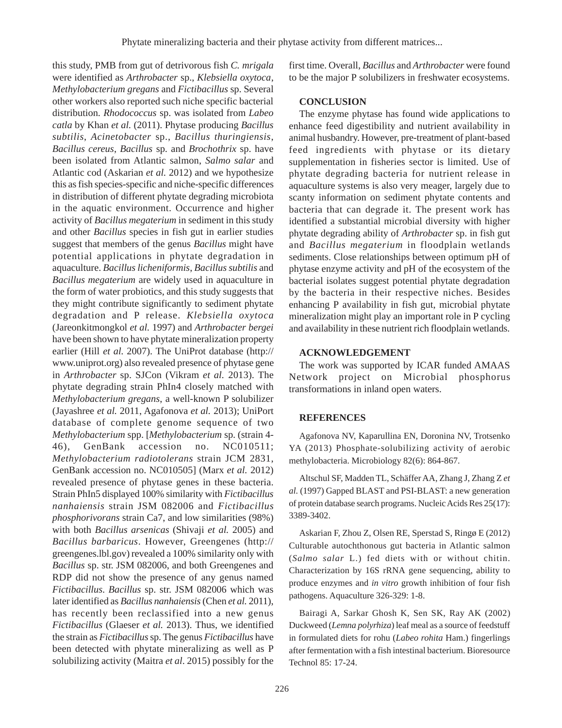this study, PMB from gut of detrivorous fish *C. mrigala* were identified as *Arthrobacter* sp., *Klebsiella oxytoca*, *Methylobacterium gregans* and *Fictibacillus* sp. Several other workers also reported such niche specific bacterial distribution*. Rhodococcus* sp. was isolated from *Labeo catla* by Khan *et al.* (2011). Phytase producing *Bacillus subtilis*, *Acinetobacter* sp., *Bacillus thuringiensis*, *Bacillus cereus*, *Bacillus* sp. and *Brochothrix* sp. have been isolated from Atlantic salmon, *Salmo salar* and Atlantic cod (Askarian *et al.* 2012) and we hypothesize this as fish species-specific and niche-specific differences in distribution of different phytate degrading microbiota in the aquatic environment. Occurrence and higher activity of *Bacillus megaterium* in sediment in this study and other *Bacillus* species in fish gut in earlier studies suggest that members of the genus *Bacillus* might have potential applications in phytate degradation in aquaculture. *Bacillus licheniformis*, *Bacillus subtilis* and *Bacillus megaterium* are widely used in aquaculture in the form of water probiotics, and this study suggests that they might contribute significantly to sediment phytate degradation and P release. *Klebsiella oxytoca* (Jareonkitmongkol *et al.* 1997) and *Arthrobacter bergei* have been shown to have phytate mineralization property earlier (Hill *et al.* 2007). The UniProt database (http:// www.uniprot.org) also revealed presence of phytase gene in *Arthrobacter* sp. SJCon (Vikram *et al.* 2013). The phytate degrading strain PhIn4 closely matched with *Methylobacterium gregans*, a well-known P solubilizer (Jayashree *et al.* 2011, Agafonova *et al.* 2013); UniPort database of complete genome sequence of two *Methylobacterium* spp. [*Methylobacterium* sp. (strain 4- 46), GenBank accession no. NC010511; *Methylobacterium radiotolerans* strain JCM 2831, GenBank accession no. NC010505] (Marx *et al.* 2012) revealed presence of phytase genes in these bacteria. Strain PhIn5 displayed 100% similarity with *Fictibacillus nanhaiensis* strain JSM 082006 and *Fictibacillus phosphorivorans* strain Ca7, and low similarities (98%) with both *Bacillus arsenicas* (Shivaji *et al.* 2005) and *Bacillus barbaricus*. However, Greengenes (http:// greengenes.lbl.gov) revealed a 100% similarity only with *Bacillus* sp. str. JSM 082006, and both Greengenes and RDP did not show the presence of any genus named *Fictibacillus*. *Bacillus* sp. str. JSM 082006 which was later identified as *Bacillus nanhaiensis* (Chen *et al.* 2011), has recently been reclassified into a new genus *Fictibacillus* (Glaeser *et al.* 2013). Thus, we identified the strain as *Fictibacillus* sp. The genus *Fictibacillus* have been detected with phytate mineralizing as well as P solubilizing activity (Maitra *et al*. 2015) possibly for the

first time. Overall, *Bacillus* and *Arthrobacter* were found to be the major P solubilizers in freshwater ecosystems.

### **CONCLUSION**

The enzyme phytase has found wide applications to enhance feed digestibility and nutrient availability in animal husbandry. However, pre-treatment of plant-based feed ingredients with phytase or its dietary supplementation in fisheries sector is limited. Use of phytate degrading bacteria for nutrient release in aquaculture systems is also very meager, largely due to scanty information on sediment phytate contents and bacteria that can degrade it. The present work has identified a substantial microbial diversity with higher phytate degrading ability of *Arthrobacter* sp. in fish gut and *Bacillus megaterium* in floodplain wetlands sediments. Close relationships between optimum pH of phytase enzyme activity and pH of the ecosystem of the bacterial isolates suggest potential phytate degradation by the bacteria in their respective niches. Besides enhancing P availability in fish gut, microbial phytate mineralization might play an important role in P cycling and availability in these nutrient rich floodplain wetlands.

### **ACKNOWLEDGEMENT**

The work was supported by ICAR funded AMAAS Network project on Microbial phosphorus transformations in inland open waters.

## **REFERENCES**

Agafonova NV, Kaparullina EN, Doronina NV, Trotsenko YA (2013) Phosphate-solubilizing activity of aerobic methylobacteria. Microbiology 82(6): 864-867.

Altschul SF, Madden TL, Schäffer AA, Zhang J, Zhang Z *et al.* (1997) Gapped BLAST and PSI-BLAST: a new generation of protein database search programs. Nucleic Acids Res 25(17): 3389-3402.

Askarian F, Zhou Z, Olsen RE, Sperstad S, Ringø E (2012) Culturable autochthonous gut bacteria in Atlantic salmon (*Salmo salar* L.) fed diets with or without chitin. Characterization by 16S rRNA gene sequencing, ability to produce enzymes and *in vitro* growth inhibition of four fish pathogens. Aquaculture 326-329: 1-8.

Bairagi A, Sarkar Ghosh K, Sen SK, Ray AK (2002) Duckweed (*Lemna polyrhiza*) leaf meal as a source of feedstuff in formulated diets for rohu (*Labeo rohita* Ham.) fingerlings after fermentation with a fish intestinal bacterium. Bioresource Technol 85: 17-24.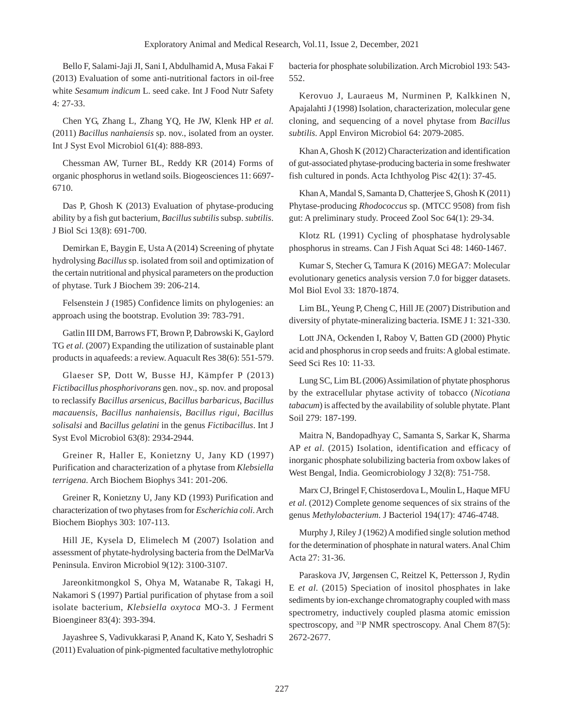Bello F, Salami-Jaji JI, Sani I, Abdulhamid A, Musa Fakai F (2013) Evaluation of some anti-nutritional factors in oil-free white *Sesamum indicum* L. seed cake. Int J Food Nutr Safety 4: 27-33.

Chen YG, Zhang L, Zhang YQ, He JW, Klenk HP *et al.* (2011) *Bacillus nanhaiensis* sp. nov., isolated from an oyster. Int J Syst Evol Microbiol 61(4): 888-893.

Chessman AW, Turner BL, Reddy KR (2014) Forms of organic phosphorus in wetland soils. Biogeosciences 11: 6697- 6710.

Das P, Ghosh K (2013) Evaluation of phytase-producing ability by a fish gut bacterium, *Bacillussubtilis* subsp. *subtilis*. J Biol Sci 13(8): 691-700.

Demirkan E, Baygin E, Usta A (2014) Screening of phytate hydrolysing *Bacillus* sp. isolated from soil and optimization of the certain nutritional and physical parameters on the production of phytase. Turk J Biochem 39: 206-214.

Felsenstein J (1985) Confidence limits on phylogenies: an approach using the bootstrap. Evolution 39: 783-791.

Gatlin III DM, Barrows FT, Brown P, Dabrowski K, Gaylord TG *et al.* (2007) Expanding the utilization of sustainable plant products in aquafeeds: a review. Aquacult Res 38(6): 551-579.

Glaeser SP, Dott W, Busse HJ, Kämpfer P (2013) *Fictibacillus phosphorivorans* gen. nov., sp. nov. and proposal to reclassify *Bacillus arsenicus*, *Bacillus barbaricus*, *Bacillus macauensis*, *Bacillus nanhaiensis*, *Bacillus rigui*, *Bacillus solisalsi* and *Bacillus gelatini* in the genus *Fictibacillus*. Int J Syst Evol Microbiol 63(8): 2934-2944.

Greiner R, Haller E, Konietzny U, Jany KD (1997) Purification and characterization of a phytase from *Klebsiella terrigena*. Arch Biochem Biophys 341: 201-206.

Greiner R, Konietzny U, Jany KD (1993) Purification and characterization of two phytases from for *Escherichia coli*. Arch Biochem Biophys 303: 107-113.

Hill JE, Kysela D, Elimelech M (2007) Isolation and assessment of phytate-hydrolysing bacteria from the DelMarVa Peninsula. Environ Microbiol 9(12): 3100-3107.

Jareonkitmongkol S, Ohya M, Watanabe R, Takagi H, Nakamori S (1997) Partial purification of phytase from a soil isolate bacterium, *Klebsiella oxytoca* MO-3. J Ferment Bioengineer 83(4): 393-394.

Jayashree S, Vadivukkarasi P, Anand K, Kato Y, Seshadri S (2011) Evaluation of pink-pigmented facultative methylotrophic bacteria for phosphate solubilization. Arch Microbiol 193: 543- 552.

Kerovuo J, Lauraeus M, Nurminen P, Kalkkinen N, Apajalahti J (1998) Isolation, characterization, molecular gene cloning, and sequencing of a novel phytase from *Bacillus subtilis*. Appl Environ Microbiol 64: 2079-2085.

Khan A, Ghosh K (2012) Characterization and identification of gut-associated phytase-producing bacteria in some freshwater fish cultured in ponds. Acta Ichthyolog Pisc 42(1): 37-45.

Khan A, Mandal S, Samanta D, Chatterjee S, Ghosh K (2011) Phytase-producing *Rhodococcus* sp. (MTCC 9508) from fish gut: A preliminary study. Proceed Zool Soc 64(1): 29-34.

Klotz RL (1991) Cycling of phosphatase hydrolysable phosphorus in streams. Can J Fish Aquat Sci 48: 1460-1467.

Kumar S, Stecher G, Tamura K (2016) MEGA7: Molecular evolutionary genetics analysis version 7.0 for bigger datasets. Mol Biol Evol 33: 1870-1874.

Lim BL, Yeung P, Cheng C, Hill JE (2007) Distribution and diversity of phytate-mineralizing bacteria. ISME J 1: 321-330.

Lott JNA, Ockenden I, Raboy V, Batten GD (2000) Phytic acid and phosphorus in crop seeds and fruits: A global estimate. Seed Sci Res 10: 11-33.

Lung SC, Lim BL (2006) Assimilation of phytate phosphorus by the extracellular phytase activity of tobacco (*Nicotiana tabacum*) is affected by the availability of soluble phytate. Plant Soil 279: 187-199.

Maitra N, Bandopadhyay C, Samanta S, Sarkar K, Sharma AP *et al.* (2015) Isolation, identification and efficacy of inorganic phosphate solubilizing bacteria from oxbow lakes of West Bengal, India. Geomicrobiology J 32(8): 751-758.

Marx CJ, Bringel F, Chistoserdova L, Moulin L, Haque MFU *et al.* (2012) Complete genome sequences of six strains of the genus *Methylobacterium*. J Bacteriol 194(17): 4746-4748.

Murphy J, Riley J (1962) A modified single solution method for the determination of phosphate in natural waters. Anal Chim Acta 27: 31-36.

Paraskova JV, Jørgensen C, Reitzel K, Pettersson J, Rydin E *et al.* (2015) Speciation of inositol phosphates in lake sediments by ion-exchange chromatography coupled with mass spectrometry, inductively coupled plasma atomic emission spectroscopy, and <sup>31</sup>P NMR spectroscopy. Anal Chem 87(5): 2672-2677.